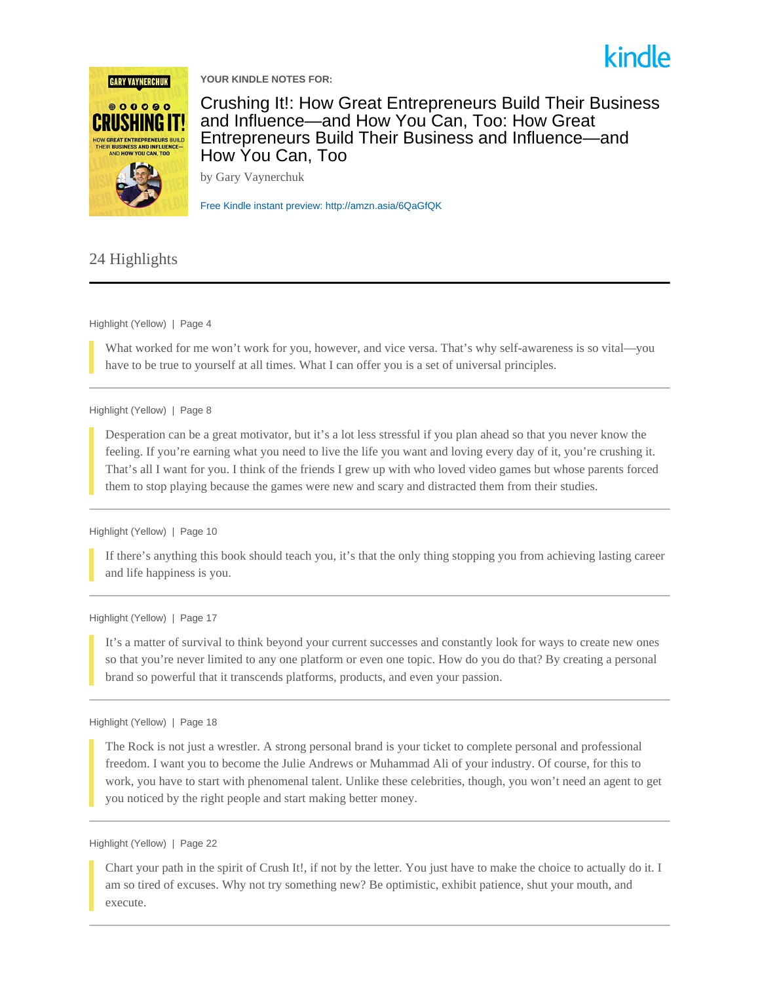



**YOUR KINDLE NOTES FOR:**

Crushing It!: How Great Entrepreneurs Build Their Business and Influence—and How You Can, Too: How Great Entrepreneurs Build Their Business and Influence—and How You Can, Too

by Gary Vaynerchuk

[Free Kindle instant preview: http://amzn.asia/6QaGfQK](http://amzn.asia/6QaGfQK)

# 24 Highlights

# Highlight (Yellow) | Page 4

What worked for me won't work for you, however, and vice versa. That's why self-awareness is so vital—you have to be true to yourself at all times. What I can offer you is a set of universal principles.

# Highlight (Yellow) | Page 8

Desperation can be a great motivator, but it's a lot less stressful if you plan ahead so that you never know the feeling. If you're earning what you need to live the life you want and loving every day of it, you're crushing it. That's all I want for you. I think of the friends I grew up with who loved video games but whose parents forced them to stop playing because the games were new and scary and distracted them from their studies.

Highlight (Yellow) | Page 10

If there's anything this book should teach you, it's that the only thing stopping you from achieving lasting career and life happiness is you.

### Highlight (Yellow) | Page 17

It's a matter of survival to think beyond your current successes and constantly look for ways to create new ones so that you're never limited to any one platform or even one topic. How do you do that? By creating a personal brand so powerful that it transcends platforms, products, and even your passion.

# Highlight (Yellow) | Page 18

The Rock is not just a wrestler. A strong personal brand is your ticket to complete personal and professional freedom. I want you to become the Julie Andrews or Muhammad Ali of your industry. Of course, for this to work, you have to start with phenomenal talent. Unlike these celebrities, though, you won't need an agent to get you noticed by the right people and start making better money.

# Highlight (Yellow) | Page 22

Chart your path in the spirit of Crush It!, if not by the letter. You just have to make the choice to actually do it. I am so tired of excuses. Why not try something new? Be optimistic, exhibit patience, shut your mouth, and execute.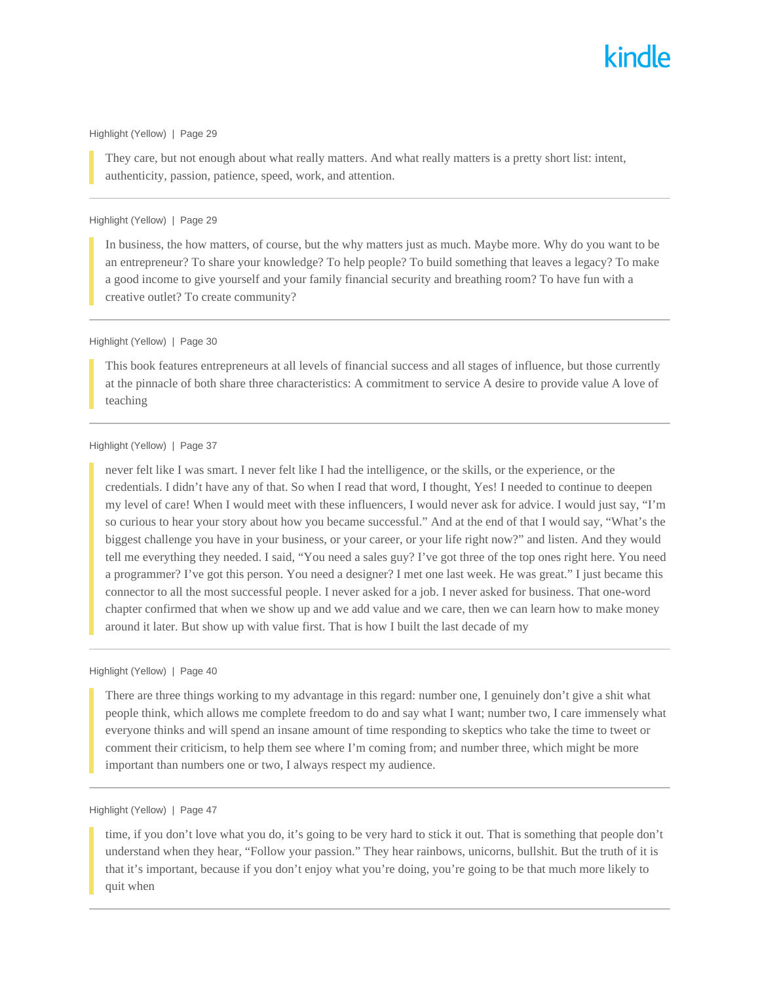# kindle

### Highlight (Yellow) | Page 29

They care, but not enough about what really matters. And what really matters is a pretty short list: intent, authenticity, passion, patience, speed, work, and attention.

### Highlight (Yellow) | Page 29

In business, the how matters, of course, but the why matters just as much. Maybe more. Why do you want to be an entrepreneur? To share your knowledge? To help people? To build something that leaves a legacy? To make a good income to give yourself and your family financial security and breathing room? To have fun with a creative outlet? To create community?

# Highlight (Yellow) | Page 30

This book features entrepreneurs at all levels of financial success and all stages of influence, but those currently at the pinnacle of both share three characteristics: A commitment to service A desire to provide value A love of teaching

### Highlight (Yellow) | Page 37

never felt like I was smart. I never felt like I had the intelligence, or the skills, or the experience, or the credentials. I didn't have any of that. So when I read that word, I thought, Yes! I needed to continue to deepen my level of care! When I would meet with these influencers, I would never ask for advice. I would just say, "I'm so curious to hear your story about how you became successful." And at the end of that I would say, "What's the biggest challenge you have in your business, or your career, or your life right now?" and listen. And they would tell me everything they needed. I said, "You need a sales guy? I've got three of the top ones right here. You need a programmer? I've got this person. You need a designer? I met one last week. He was great." I just became this connector to all the most successful people. I never asked for a job. I never asked for business. That one-word chapter confirmed that when we show up and we add value and we care, then we can learn how to make money around it later. But show up with value first. That is how I built the last decade of my

# Highlight (Yellow) | Page 40

There are three things working to my advantage in this regard: number one, I genuinely don't give a shit what people think, which allows me complete freedom to do and say what I want; number two, I care immensely what everyone thinks and will spend an insane amount of time responding to skeptics who take the time to tweet or comment their criticism, to help them see where I'm coming from; and number three, which might be more important than numbers one or two, I always respect my audience.

# Highlight (Yellow) | Page 47

time, if you don't love what you do, it's going to be very hard to stick it out. That is something that people don't understand when they hear, "Follow your passion." They hear rainbows, unicorns, bullshit. But the truth of it is that it's important, because if you don't enjoy what you're doing, you're going to be that much more likely to quit when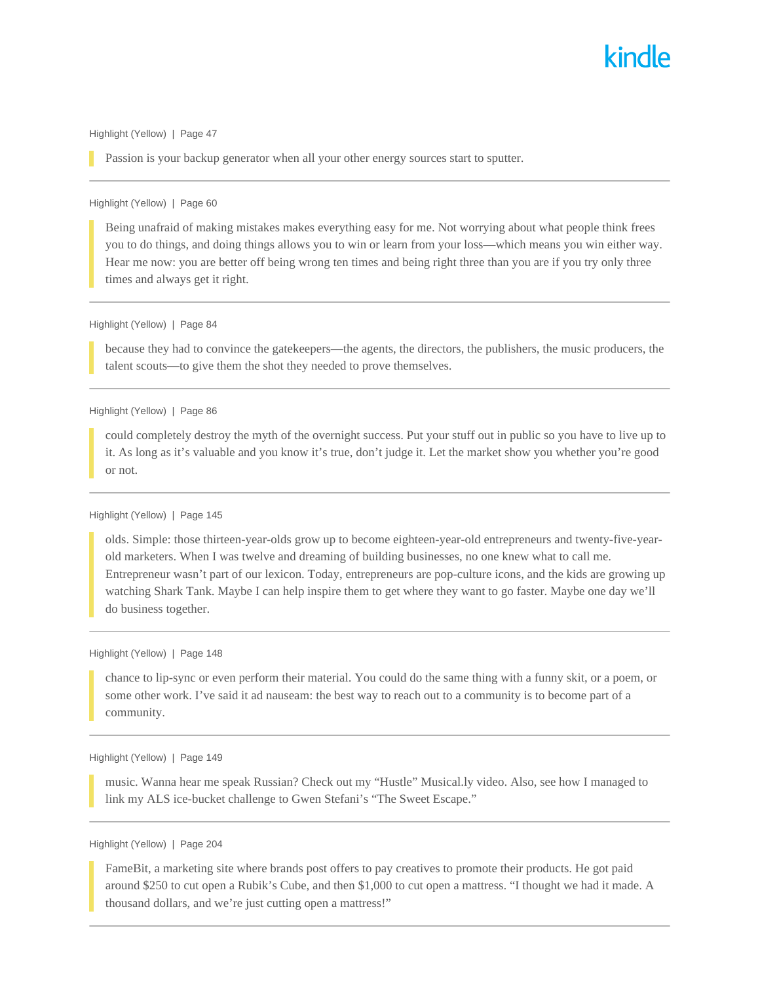# kindle

#### Highlight (Yellow) | Page 47

Passion is your backup generator when all your other energy sources start to sputter.

# Highlight (Yellow) | Page 60

Being unafraid of making mistakes makes everything easy for me. Not worrying about what people think frees you to do things, and doing things allows you to win or learn from your loss—which means you win either way. Hear me now: you are better off being wrong ten times and being right three than you are if you try only three times and always get it right.

#### Highlight (Yellow) | Page 84

because they had to convince the gatekeepers—the agents, the directors, the publishers, the music producers, the talent scouts—to give them the shot they needed to prove themselves.

# Highlight (Yellow) | Page 86

could completely destroy the myth of the overnight success. Put your stuff out in public so you have to live up to it. As long as it's valuable and you know it's true, don't judge it. Let the market show you whether you're good or not.

## Highlight (Yellow) | Page 145

olds. Simple: those thirteen-year-olds grow up to become eighteen-year-old entrepreneurs and twenty-five-yearold marketers. When I was twelve and dreaming of building businesses, no one knew what to call me. Entrepreneur wasn't part of our lexicon. Today, entrepreneurs are pop-culture icons, and the kids are growing up watching Shark Tank. Maybe I can help inspire them to get where they want to go faster. Maybe one day we'll do business together.

## Highlight (Yellow) | Page 148

chance to lip-sync or even perform their material. You could do the same thing with a funny skit, or a poem, or some other work. I've said it ad nauseam: the best way to reach out to a community is to become part of a community.

### Highlight (Yellow) | Page 149

music. Wanna hear me speak Russian? Check out my "Hustle" Musical.ly video. Also, see how I managed to link my ALS ice-bucket challenge to Gwen Stefani's "The Sweet Escape."

### Highlight (Yellow) | Page 204

FameBit, a marketing site where brands post offers to pay creatives to promote their products. He got paid around \$250 to cut open a Rubik's Cube, and then \$1,000 to cut open a mattress. "I thought we had it made. A thousand dollars, and we're just cutting open a mattress!"